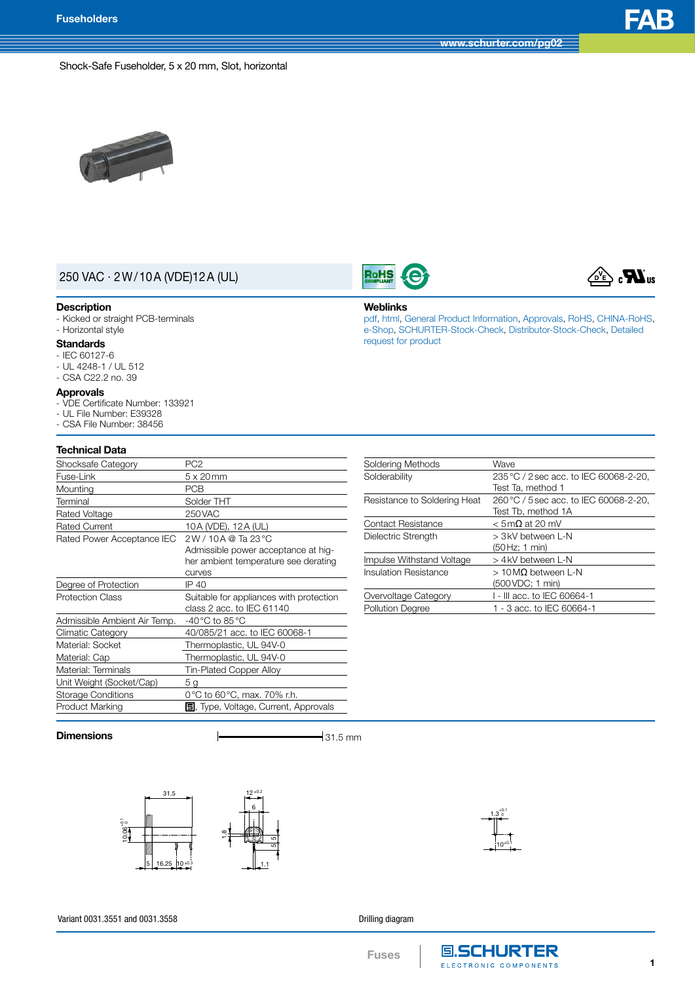$_{\circ}$   $\boldsymbol{H}$   $_{\circ}$ 

#### Shock-Safe Fuseholder, 5 x 20 mm, Slot, horizontal



## 250 VAC · 2W/10A (VDE)12A (UL)

#### **Description**

- Kicked or straight PCB-terminals

# - Horizontal style

#### **Standards** - IEC 60127-6

- UL 4248-1 / UL 512
- CSA C22.2 no. 39

#### **Approvals**

- VDE Certificate Number: 133921
- UL File Number: E39328
- CSA File Number: 38456

### **Technical Data**

| Shocksafe Category           | PC <sub>2</sub>                              |  |
|------------------------------|----------------------------------------------|--|
| Fuse-Link                    | $5 \times 20$ mm                             |  |
| Mounting                     | PCB                                          |  |
| Terminal                     | Solder THT                                   |  |
| Rated Voltage                | 250 VAC                                      |  |
| <b>Rated Current</b>         | 10A (VDE), 12A (UL)                          |  |
| Rated Power Acceptance IEC   | 2W/10A @ Ta 23 °C                            |  |
|                              | Admissible power acceptance at hig-          |  |
|                              | her ambient temperature see derating         |  |
|                              | <b>CUIVES</b>                                |  |
| Degree of Protection         | IP 40                                        |  |
| <b>Protection Class</b>      | Suitable for appliances with protection      |  |
|                              | class 2 acc. to IEC 61140                    |  |
| Admissible Ambient Air Temp. | -40 °C to 85 °C                              |  |
| Climatic Category            | 40/085/21 acc. to IEC 60068-1                |  |
| Material: Socket             | Thermoplastic, UL 94V-0                      |  |
| Material: Cap                | Thermoplastic, UL 94V-0                      |  |
| Material: Terminals          | Tin-Plated Copper Alloy                      |  |
| Unit Weight (Socket/Cap)     | 5 <sub>q</sub>                               |  |
| Storage Conditions           | 0 °C to 60 °C, max. 70% r.h.                 |  |
| Product Marking              | <b>国</b> , Type, Voltage, Current, Approvals |  |
|                              |                                              |  |

| Soldering Methods            | Wave                                   |
|------------------------------|----------------------------------------|
| Solderability                | 235 °C / 2 sec acc. to IEC 60068-2-20, |
|                              | Test Ta, method 1                      |
| Resistance to Soldering Heat | 260 °C / 5 sec acc. to IEC 60068-2-20, |
|                              | Test Tb, method 1A                     |
| <b>Contact Resistance</b>    | $<$ 5 m $\Omega$ at 20 mV              |
| Dielectric Strength          | > 3kV between L-N                      |
|                              | (50 Hz; 1 min)                         |
| Impulse Withstand Voltage    | > 4kV between L-N                      |
| Insulation Resistance        | $>10$ MQ between L-N                   |
|                              | (500 VDC; 1 min)                       |
| Overvoltage Category         | I - III acc. to IEC 60664-1            |
| <b>Pollution Degree</b>      | 1 - 3 acc. to IEC 60664-1              |
|                              |                                        |

[pdf](http://www.schurter.ch/pdf/english/typ_FAB.pdf), [html](http://www.schurter.ch/en/datasheet/FAB), General Product [Information,](http://www.schurter.ch/products/fuses_general_info.asp) [Approvals](http://www.schurter.ch/en/Documents-References/Approvals/(id)/FAB), [RoHS](http://www.schurter.ch/company/rohs.asp), [CHINA-RoHS,](http://www.schurter.ch/company/china_rohs.asp) [e-Shop](http://www.schurter.com/en/Stock-Check/e-Shop?MAKTX=FAB&COM_QTY=1&VARIANT=E-SHOP&AUTOSEARCH=true), [SCHURTER-Stock-Check,](http://www.schurter.ch/en/Stock-Check/Stock-Check-SCHURTER?MAKTX=FAB&COM_QTY=1&AUTOSEARCH=true) [Distributor-Stock-Check](http://www.schurter.com/en/Stock-Check/Stock-Check-Distributor?partnumber1=FAB), [Detailed](http://www.schurter.com/Contact/Contact-Form?type=FAB)

**Dimensions**  $\qquad \qquad \qquad$  **21.5 mm** 





Variant 0031.3551 and 0031.3558

Drilling diagram

**Weblinks**

**RoHS** 

request for [product](http://www.schurter.com/Contact/Contact-Form?type=FAB)